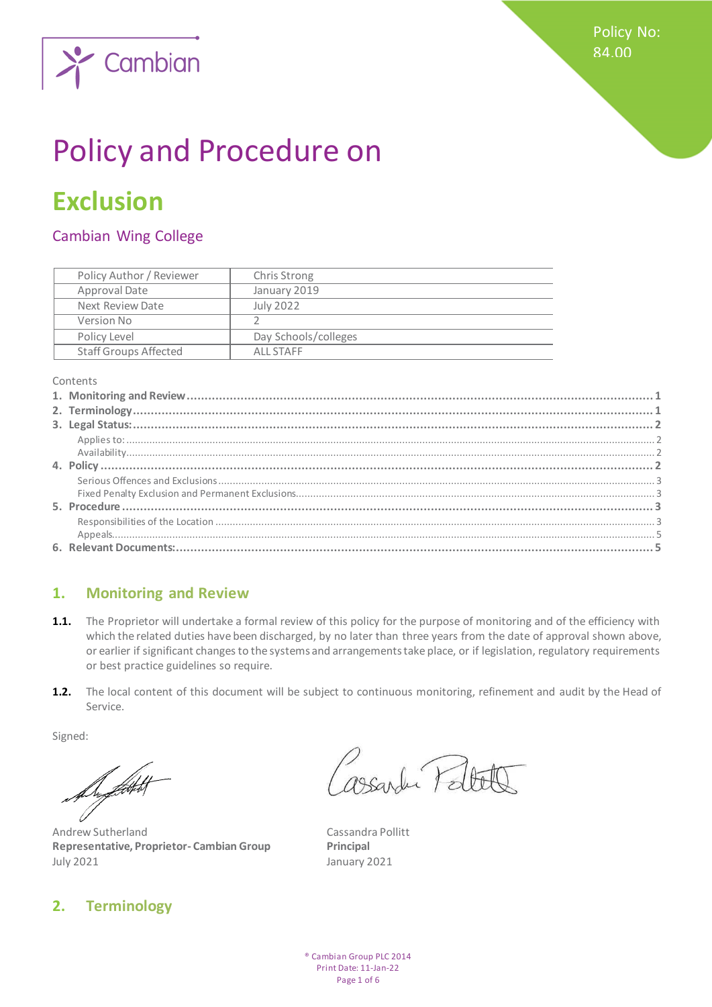

# Policy and Procedure on

# **Exclusion**

# Cambian Wing College

| Policy Author / Reviewer     | Chris Strong         |
|------------------------------|----------------------|
| Approval Date                | January 2019         |
| Next Review Date             | July 2022            |
| Version No                   |                      |
| Policy Level                 | Day Schools/colleges |
| <b>Staff Groups Affected</b> | ALL STAFF            |

#### Contents

## <span id="page-0-0"></span>**1. Monitoring and Review**

- 1.1. The Proprietor will undertake a formal review of this policy for the purpose of monitoring and of the efficiency with which the related duties have been discharged, by no later than three years from the date of approval shown above, or earlier if significant changes to the systems and arrangements take place, or if legislation, regulatory requirements or best practice guidelines so require.
- **1.2.** The local content of this document will be subject to continuous monitoring, refinement and audit by the Head of Service.

Signed:

De flott t

Andrew Sutherland Cassandra Pollitt **Representative, Proprietor- Cambian Group Principal** July 2021 January 2021

# <span id="page-0-1"></span>**2. Terminology**

s<br>assantu Palte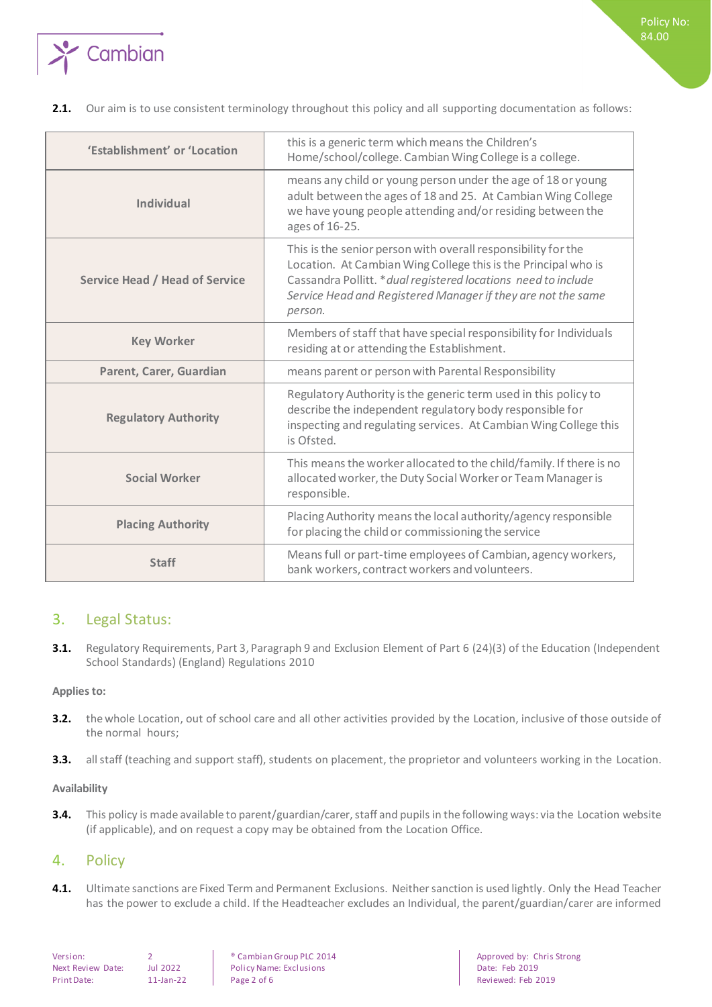

#### 2.1. Our aim is to use consistent terminology throughout this policy and all supporting documentation as follows:

| 'Establishment' or 'Location          | this is a generic term which means the Children's<br>Home/school/college. Cambian Wing College is a college.                                                                                                                                                                 |
|---------------------------------------|------------------------------------------------------------------------------------------------------------------------------------------------------------------------------------------------------------------------------------------------------------------------------|
| Individual                            | means any child or young person under the age of 18 or young<br>adult between the ages of 18 and 25. At Cambian Wing College<br>we have young people attending and/or residing between the<br>ages of 16-25.                                                                 |
| <b>Service Head / Head of Service</b> | This is the senior person with overall responsibility for the<br>Location. At Cambian Wing College this is the Principal who is<br>Cassandra Pollitt. * dual registered locations need to include<br>Service Head and Registered Manager if they are not the same<br>person. |
| <b>Key Worker</b>                     | Members of staff that have special responsibility for Individuals<br>residing at or attending the Establishment.                                                                                                                                                             |
| Parent, Carer, Guardian               | means parent or person with Parental Responsibility                                                                                                                                                                                                                          |
| <b>Regulatory Authority</b>           | Regulatory Authority is the generic term used in this policy to<br>describe the independent regulatory body responsible for<br>inspecting and regulating services. At Cambian Wing College this<br>is Ofsted.                                                                |
| <b>Social Worker</b>                  | This means the worker allocated to the child/family. If there is no<br>allocated worker, the Duty Social Worker or Team Manager is<br>responsible.                                                                                                                           |
| <b>Placing Authority</b>              | Placing Authority means the local authority/agency responsible<br>for placing the child or commissioning the service                                                                                                                                                         |
| <b>Staff</b>                          | Means full or part-time employees of Cambian, agency workers,<br>bank workers, contract workers and volunteers.                                                                                                                                                              |

## <span id="page-1-0"></span>3. Legal Status:

**3.1.** Regulatory Requirements, Part 3, Paragraph 9 and Exclusion Element of Part 6 (24)(3) of the Education (Independent School Standards) (England) Regulations 2010

#### <span id="page-1-1"></span>**Applies to:**

- **3.2.** the whole Location, out of school care and all other activities provided by the Location, inclusive of those outside of the normal hours;
- <span id="page-1-2"></span>**3.3.** all staff (teaching and support staff), students on placement, the proprietor and volunteers working in the Location.

#### **Availability**

**3.4.** This policy is made available to parent/guardian/carer, staff and pupils in the following ways: via the Location website (if applicable), and on request a copy may be obtained from the Location Office.

#### <span id="page-1-3"></span>4. Policy

**4.1.** Ultimate sanctions are Fixed Term and Permanent Exclusions. Neither sanction is used lightly. Only the Head Teacher has the power to exclude a child. If the Headteacher excludes an Individual, the parent/guardian/carer are informed

Next Review Date: Jul 2022 Policy Name: Exclusions Date: Feb 2019 Print Date: 11-Jan-22 Page 2 of 6 Reviewed: Feb 2019

Version: 2 
2 
<br>
Policy Name: Exclusions

Next Review Date: International Policy Name: Exclusions

Next Review Date: Feb 2019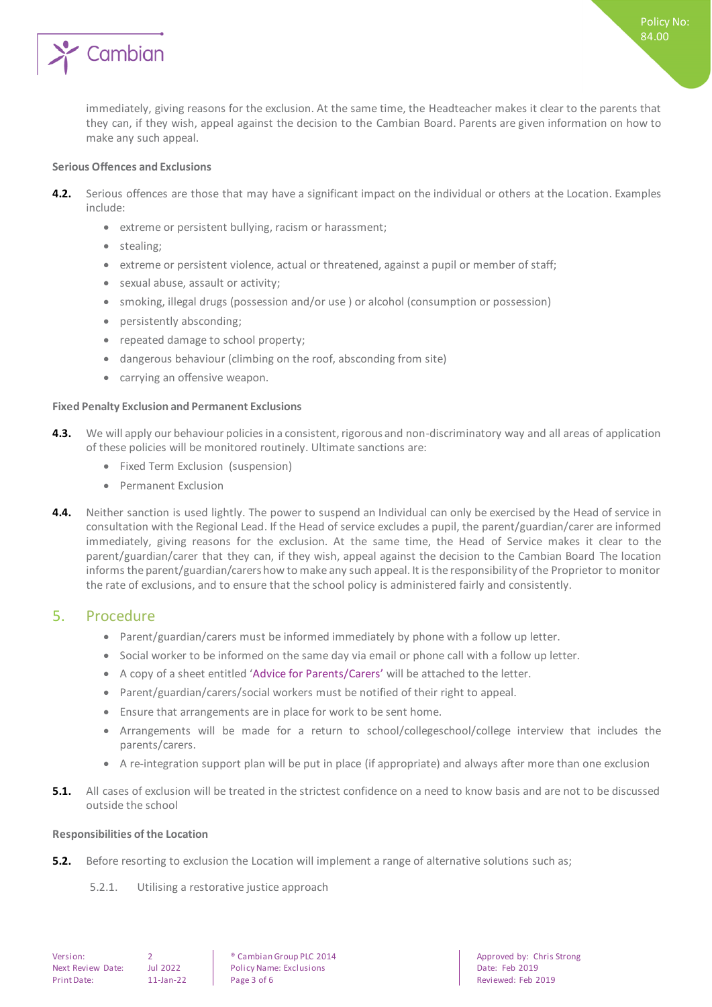

Policy No: 84.00

#### <span id="page-2-0"></span>**Serious Offences and Exclusions**

- **4.2.** Serious offences are those that may have a significant impact on the individual or others at the Location. Examples include:
	- extreme or persistent bullying, racism or harassment;
	- stealing:
	- extreme or persistent violence, actual or threatened, against a pupil or member of staff;
	- sexual abuse, assault or activity;
	- smoking, illegal drugs (possession and/or use) or alcohol (consumption or possession)
	- persistently absconding;
	- repeated damage to school property;
	- dangerous behaviour (climbing on the roof, absconding from site)
	- carrying an offensive weapon.

#### <span id="page-2-1"></span>**Fixed Penalty Exclusion and Permanent Exclusions**

- **4.3.** We will apply our behaviour policies in a consistent, rigorous and non-discriminatory way and all areas of application of these policies will be monitored routinely. Ultimate sanctions are:
	- Fixed Term Exclusion (suspension)
	- **•** Permanent Exclusion
- **4.4.** Neither sanction is used lightly. The power to suspend an Individual can only be exercised by the Head of service in consultation with the Regional Lead. If the Head of service excludes a pupil, the parent/guardian/carer are informed immediately, giving reasons for the exclusion. At the same time, the Head of Service makes it clear to the parent/guardian/carer that they can, if they wish, appeal against the decision to the Cambian Board The location informs the parent/guardian/carers how to make any such appeal. It is the responsibility of the Proprietor to monitor the rate of exclusions, and to ensure that the school policy is administered fairly and consistently.

#### <span id="page-2-2"></span>5. Procedure

- Parent/guardian/carers must be informed immediately by phone with a follow up letter.
- Social worker to be informed on the same day via email or phone call with a follow up letter.
- A copy of a sheet entitled 'Advice for Parents/Carers' will be attached to the letter.
- Parent/guardian/carers/social workers must be notified of their right to appeal.
- Ensure that arrangements are in place for work to be sent home.
- Arrangements will be made for a return to school/collegeschool/college interview that includes the parents/carers.
- A re-integration support plan will be put in place (if appropriate) and always after more than one exclusion
- **5.1.** All cases of exclusion will be treated in the strictest confidence on a need to know basis and are not to be discussed outside the school

#### <span id="page-2-3"></span>**Responsibilities of the Location**

- **5.2.** Before resorting to exclusion the Location will implement a range of alternative solutions such as;
	- 5.2.1. Utilising a restorative justice approach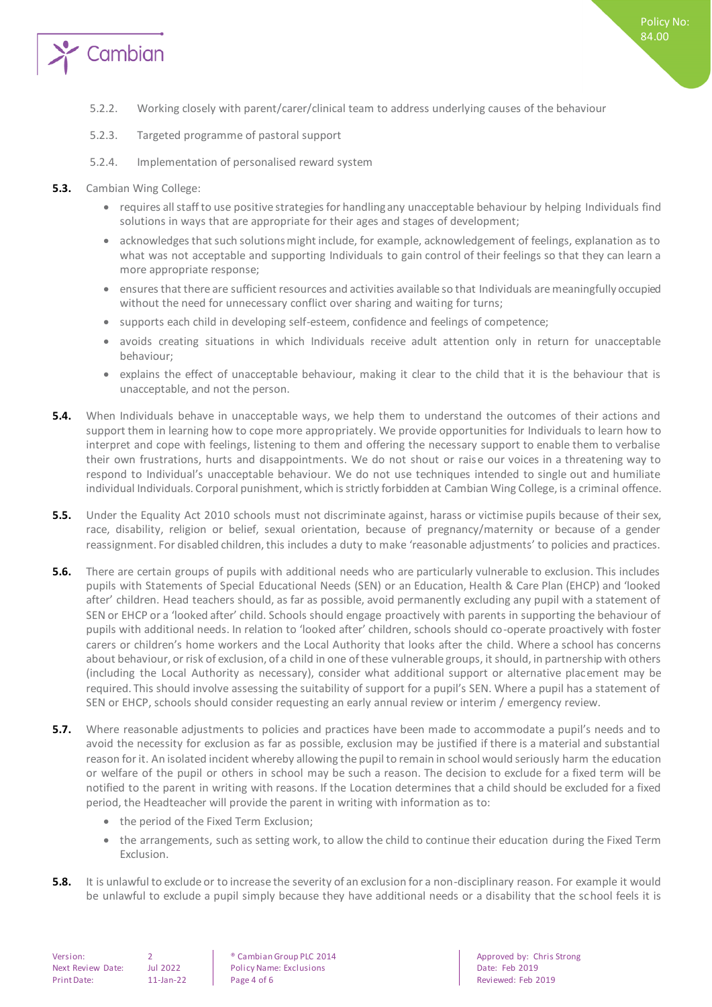

- 5.2.2. Working closely with parent/carer/clinical team to address underlying causes of the behaviour
- 5.2.3. Targeted programme of pastoral support
- 5.2.4. Implementation of personalised reward system
- **5.3.** Cambian Wing College:
	- requires all staff to use positive strategies for handling any unacceptable behaviour by helping Individuals find solutions in ways that are appropriate for their ages and stages of development;
	- acknowledges that such solutions might include, for example, acknowledgement of feelings, explanation as to what was not acceptable and supporting Individuals to gain control of their feelings so that they can learn a more appropriate response;
	- ensures that there are sufficient resources and activities available so that Individuals are meaningfully occupied without the need for unnecessary conflict over sharing and waiting for turns;
	- supports each child in developing self-esteem, confidence and feelings of competence;
	- avoids creating situations in which Individuals receive adult attention only in return for unacceptable behaviour;
	- explains the effect of unacceptable behaviour, making it clear to the child that it is the behaviour that is unacceptable, and not the person.
- **5.4.** When Individuals behave in unacceptable ways, we help them to understand the outcomes of their actions and support them in learning how to cope more appropriately. We provide opportunities for Individuals to learn how to interpret and cope with feelings, listening to them and offering the necessary support to enable them to verbalise their own frustrations, hurts and disappointments. We do not shout or raise our voices in a threatening way to respond to Individual's unacceptable behaviour. We do not use techniques intended to single out and humiliate individual Individuals. Corporal punishment, which is strictly forbidden at Cambian Wing College, is a criminal offence.
- **5.5.** Under the Equality Act 2010 schools must not discriminate against, harass or victimise pupils because of their sex, race, disability, religion or belief, sexual orientation, because of pregnancy/maternity or because of a gender reassignment. For disabled children, this includes a duty to make 'reasonable adjustments' to policies and practices.
- **5.6.** There are certain groups of pupils with additional needs who are particularly vulnerable to exclusion. This includes pupils with Statements of Special Educational Needs (SEN) or an Education, Health & Care Plan (EHCP) and 'looked after' children. Head teachers should, as far as possible, avoid permanently excluding any pupil with a statement of SEN or EHCP or a 'looked after' child. Schools should engage proactively with parents in supporting the behaviour of pupils with additional needs. In relation to 'looked after' children, schools should co-operate proactively with foster carers or children's home workers and the Local Authority that looks after the child. Where a school has concerns about behaviour, or risk of exclusion, of a child in one of these vulnerable groups, it should, in partnership with others (including the Local Authority as necessary), consider what additional support or alternative placement may be required. This should involve assessing the suitability of support for a pupil's SEN. Where a pupil has a statement of SEN or EHCP, schools should consider requesting an early annual review or interim / emergency review.
- **5.7.** Where reasonable adjustments to policies and practices have been made to accommodate a pupil's needs and to avoid the necessity for exclusion as far as possible, exclusion may be justified if there is a material and substantial reason for it. An isolated incident whereby allowing the pupil to remain in school would seriously harm the education or welfare of the pupil or others in school may be such a reason. The decision to exclude for a fixed term will be notified to the parent in writing with reasons. If the Location determines that a child should be excluded for a fixed period, the Headteacher will provide the parent in writing with information as to:
	- the period of the Fixed Term Exclusion;
	- the arrangements, such as setting work, to allow the child to continue their education during the Fixed Term Exclusion.
- **5.8.** It is unlawful to exclude or to increase the severity of an exclusion for a non-disciplinary reason. For example it would be unlawful to exclude a pupil simply because they have additional needs or a disability that the school feels it is

Next Review Date: Jul 2022 | Policy Name: Exclusions | Date: Feb 2019 Print Date: 11-Jan-22 Page 4 of 6 Reviewed: Feb 2019

Version: 2 ® Cambian Group PLC 2014 Approved by: Chris Strong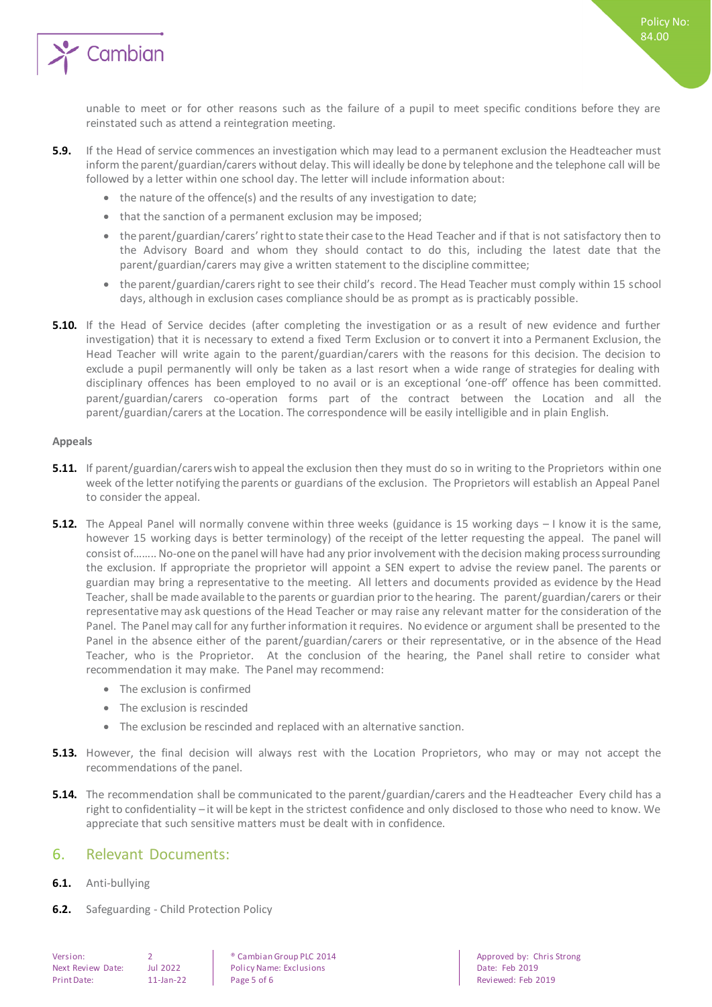

Policy No: 84.00

- **5.9.** If the Head of service commences an investigation which may lead to a permanent exclusion the Headteacher must inform the parent/guardian/carers without delay. This will ideally be done by telephone and the telephone call will be followed by a letter within one school day. The letter will include information about:
	- the nature of the offence(s) and the results of any investigation to date;
	- that the sanction of a permanent exclusion may be imposed;
	- the parent/guardian/carers' right to state their case to the Head Teacher and if that is not satisfactory then to the Advisory Board and whom they should contact to do this, including the latest date that the parent/guardian/carers may give a written statement to the discipline committee;
	- the parent/guardian/carers right to see their child's record. The Head Teacher must comply within 15 school days, although in exclusion cases compliance should be as prompt as is practicably possible.
- **5.10.** If the Head of Service decides (after completing the investigation or as a result of new evidence and further investigation) that it is necessary to extend a fixed Term Exclusion or to convert it into a Permanent Exclusion, the Head Teacher will write again to the parent/guardian/carers with the reasons for this decision. The decision to exclude a pupil permanently will only be taken as a last resort when a wide range of strategies for dealing with disciplinary offences has been employed to no avail or is an exceptional 'one-off' offence has been committed. parent/guardian/carers co-operation forms part of the contract between the Location and all the parent/guardian/carers at the Location. The correspondence will be easily intelligible and in plain English.

#### <span id="page-4-0"></span>**Appeals**

- **5.11.** If parent/guardian/carers wish to appeal the exclusion then they must do so in writing to the Proprietors within one week of the letter notifying the parents or guardians of the exclusion. The Proprietors will establish an Appeal Panel to consider the appeal.
- **5.12.** The Appeal Panel will normally convene within three weeks (guidance is 15 working days I know it is the same, however 15 working days is better terminology) of the receipt of the letter requesting the appeal. The panel will consist of…….. No-one on the panel will have had any prior involvement with the decision making process surrounding the exclusion. If appropriate the proprietor will appoint a SEN expert to advise the review panel. The parents or guardian may bring a representative to the meeting. All letters and documents provided as evidence by the Head Teacher, shall be made available to the parents or guardian prior to the hearing. The parent/guardian/carers or their representative may ask questions of the Head Teacher or may raise any relevant matter for the consideration of the Panel. The Panel may call for any further information it requires. No evidence or argument shall be presented to the Panel in the absence either of the parent/guardian/carers or their representative, or in the absence of the Head Teacher, who is the Proprietor. At the conclusion of the hearing, the Panel shall retire to consider what recommendation it may make. The Panel may recommend:
	- The exclusion is confirmed
	- The exclusion is rescinded
	- The exclusion be rescinded and replaced with an alternative sanction.
- **5.13.** However, the final decision will always rest with the Location Proprietors, who may or may not accept the recommendations of the panel.
- **5.14.** The recommendation shall be communicated to the parent/guardian/carers and the Headteacher Every child has a right to confidentiality – it will be kept in the strictest confidence and only disclosed to those who need to know. We appreciate that such sensitive matters must be dealt with in confidence.

#### <span id="page-4-1"></span>6. Relevant Documents:

- **6.1.** Anti-bullying
- **6.2.** Safeguarding Child Protection Policy